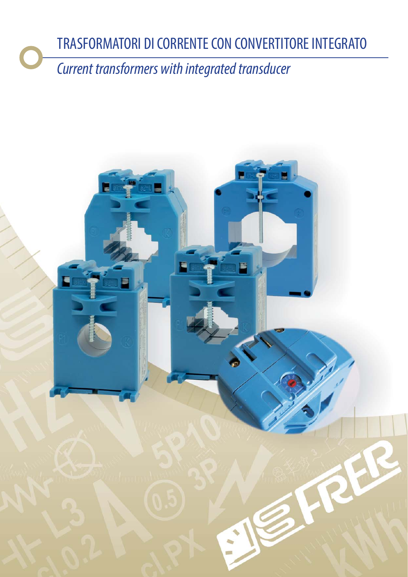

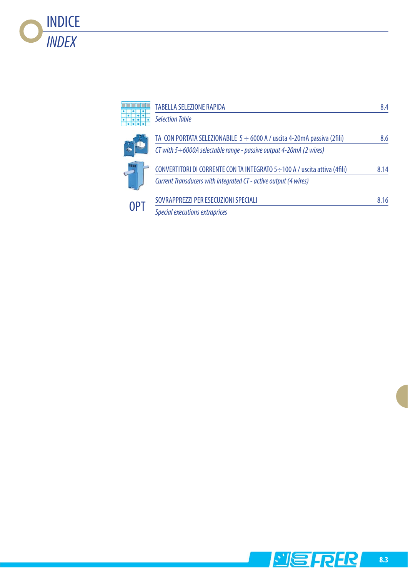

|                 | <b>TABELLA SELEZIONE RAPIDA</b>                                              | 8.4  |
|-----------------|------------------------------------------------------------------------------|------|
|                 | <b>Selection Table</b>                                                       |      |
|                 | TA CON PORTATA SELEZIONABILE $5 \div 6000$ A / uscita 4-20mA passiva (2fili) | 8.6  |
|                 | CT with $5 \div 6000A$ selectable range - passive output 4-20mA (2 wires)    |      |
|                 | CONVERTITORI DI CORRENTE CON TA INTEGRATO 5÷100 A / uscita attiva (4fili)    | 8.14 |
|                 | Current Transducers with integrated CT - active output (4 wires)             |      |
| OP <sub>1</sub> | SOVRAPPREZZI PER ESECUZIONI SPECIALI                                         | 8.16 |
|                 | <b>Special executions extraprices</b>                                        |      |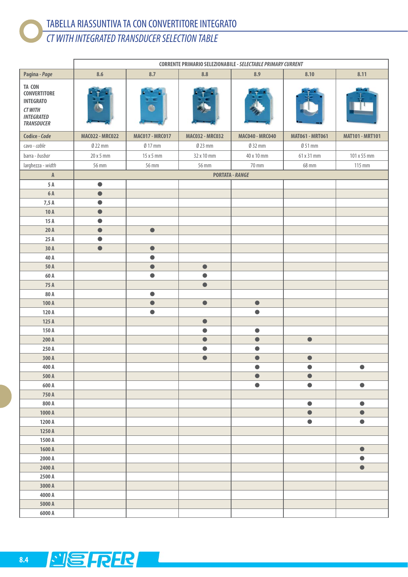TABELLA RIASSUNTIVA TA CON CONVERTITORE INTEGRATO CT WITH INTEGRATED TRANSDUCER SELECTION TABLE

|                                                                                                                      | <b>CORRENTE PRIMARIO SELEZIONABILE - SELECTABLE PRIMARY CURRENT</b> |                        |                        |                        |                        |                        |
|----------------------------------------------------------------------------------------------------------------------|---------------------------------------------------------------------|------------------------|------------------------|------------------------|------------------------|------------------------|
| Pagina - Page                                                                                                        | 8.6                                                                 | 8.7                    | $\bf 8.8$              | 8.9                    | 8.10                   | 8.11                   |
| <b>TA CON</b><br><b>CONVERTITORE</b><br><b>INTEGRATO</b><br><b>CT WITH</b><br><b>INTEGRATED</b><br><b>TRANSDUCER</b> |                                                                     |                        |                        |                        |                        |                        |
| Codice - Code                                                                                                        | <b>MAC022 - MRC022</b>                                              | <b>MAC017 - MRC017</b> | <b>MAC032 - MRC032</b> | <b>MAC040 - MRC040</b> | <b>MAT061 - MRT061</b> | <b>MAT101 - MRT101</b> |
| cavo - cable                                                                                                         | $Ø$ 22 mm                                                           | $Ø$ 17 mm              | $Ø$ 23 mm              | $Ø$ 32 mm              | $Ø$ 51 mm              |                        |
| barra - busbar                                                                                                       | 20 x 5 mm                                                           | 15 x 5 mm              | 32 x 10 mm             | 40 x 10 mm             | 61 x 31 mm             | 101 x 55 mm            |
| larghezza - width                                                                                                    | 56 mm                                                               | 56 mm                  | 56 mm                  | 70 mm                  | 68 mm                  | 115 mm                 |
| $\pmb{\mathsf{A}}$                                                                                                   |                                                                     |                        |                        | <b>PORTATA - RANGE</b> |                        |                        |
| 5 A                                                                                                                  | $\bullet$                                                           |                        |                        |                        |                        |                        |
| 6 A                                                                                                                  | $\bullet$                                                           |                        |                        |                        |                        |                        |
| 7,5A                                                                                                                 | $\bullet$                                                           |                        |                        |                        |                        |                        |
| 10A                                                                                                                  | $\bullet$                                                           |                        |                        |                        |                        |                        |
| 15 A                                                                                                                 | 0                                                                   |                        |                        |                        |                        |                        |
| 20A                                                                                                                  | $\bullet$                                                           | $\bullet$              |                        |                        |                        |                        |
| 25 A                                                                                                                 | $\bullet$                                                           |                        |                        |                        |                        |                        |
| 30 A                                                                                                                 | $\bullet$                                                           | $\bullet$              |                        |                        |                        |                        |
| 40 A                                                                                                                 |                                                                     | $\bullet$              |                        |                        |                        |                        |
| 50 A                                                                                                                 |                                                                     | $\bullet$              | $\bullet$              |                        |                        |                        |
| 60 A                                                                                                                 |                                                                     | $\bullet$              | $\bullet$              |                        |                        |                        |
| 75 A                                                                                                                 |                                                                     |                        | $\bullet$              |                        |                        |                        |
| 80 A                                                                                                                 |                                                                     | $\bullet$              |                        |                        |                        |                        |
| 100 A                                                                                                                |                                                                     | $\bullet$              | $\bullet$              | $\bullet$              |                        |                        |
| 120 A                                                                                                                |                                                                     | $\bullet$              |                        | $\bullet$              |                        |                        |
| 125A                                                                                                                 |                                                                     |                        | $\bullet$              |                        |                        |                        |
| 150 A                                                                                                                |                                                                     |                        | $\bullet$              | $\bullet$              |                        |                        |
| 200A                                                                                                                 |                                                                     |                        | $\bullet$              | $\bullet$              | $\bullet$              |                        |
| 250 A                                                                                                                |                                                                     |                        | $\bullet$              | ●                      |                        |                        |
| 300 A                                                                                                                |                                                                     |                        | $\bullet$              | $\bullet$              | $\bullet$              |                        |
| 400 A                                                                                                                |                                                                     |                        |                        | $\bullet$              | $\bullet$              | $\bullet$              |
| 500 A                                                                                                                |                                                                     |                        |                        | $\bullet$              | $\bullet$              |                        |
| 600 A                                                                                                                |                                                                     |                        |                        | $\bullet$              | $\bullet$              | $\bullet$              |
| 750 A                                                                                                                |                                                                     |                        |                        |                        |                        |                        |
| 800 A                                                                                                                |                                                                     |                        |                        |                        | $\bullet$              | $\bullet$              |
| 1000 A                                                                                                               |                                                                     |                        |                        |                        | $\bullet$              | $\bullet$              |
| 1200 A                                                                                                               |                                                                     |                        |                        |                        | $\bullet$              | $\bullet$              |
| 1250 A                                                                                                               |                                                                     |                        |                        |                        |                        |                        |
| 1500 A                                                                                                               |                                                                     |                        |                        |                        |                        |                        |
| 1600 A                                                                                                               |                                                                     |                        |                        |                        |                        | $\bullet$              |
| 2000 A                                                                                                               |                                                                     |                        |                        |                        |                        | $\bullet$              |
| 2400 A                                                                                                               |                                                                     |                        |                        |                        |                        | $\bullet$              |
| 2500 A                                                                                                               |                                                                     |                        |                        |                        |                        |                        |
| 3000 A                                                                                                               |                                                                     |                        |                        |                        |                        |                        |
| 4000 A                                                                                                               |                                                                     |                        |                        |                        |                        |                        |
| 5000 A                                                                                                               |                                                                     |                        |                        |                        |                        |                        |
| 6000 A                                                                                                               |                                                                     |                        |                        |                        |                        |                        |

**8.4**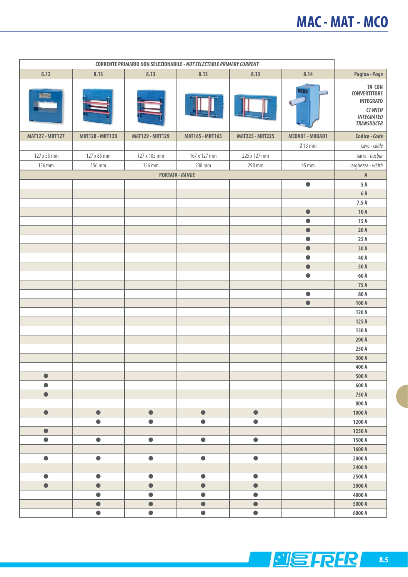# **MAC - MAT - MCO**

| CORRENTE PRIMARIO NON SELEZIONABILE - NOT SELECTABLE PRIMARY CURRENT |                        |                        |                        |                        |                 |                                                                                                                      |
|----------------------------------------------------------------------|------------------------|------------------------|------------------------|------------------------|-----------------|----------------------------------------------------------------------------------------------------------------------|
| 8.12                                                                 | 8.13                   | 8.13                   | 8.13                   | 8.13                   | 8.14            | Pagina - Page                                                                                                        |
|                                                                      |                        |                        |                        |                        |                 | <b>TA CON</b><br><b>CONVERTITORE</b><br><b>INTEGRATO</b><br><b>CT WITH</b><br><b>INTEGRATED</b><br><b>TRANSDUCER</b> |
| <b>MAT127 - MRT127</b>                                               | <b>MAT128 - MRT128</b> | <b>MAT129 - MRT129</b> | <b>MAT165 - MRT165</b> | <b>MAT225 - MRT225</b> | MCOAD1 - MROAD1 | Codice - Code                                                                                                        |
|                                                                      |                        |                        |                        |                        | $Ø$ 13 mm       | cavo - cable                                                                                                         |
| 127 x 55 mm                                                          | 127 x 85 mm            | 127 x 105 mm           | 167 x 127 mm           | 225 x 127 mm           |                 | barra - busbar                                                                                                       |
| 156 mm                                                               | 156 mm                 | 156 mm                 | 238 mm                 | 298 mm                 | 45 mm           | larghezza - width                                                                                                    |
|                                                                      |                        |                        | <b>PORTATA - RANGE</b> |                        |                 | $\boldsymbol{\mathsf{A}}$                                                                                            |
|                                                                      |                        |                        |                        |                        | $\bullet$       | 5 A                                                                                                                  |
|                                                                      |                        |                        |                        |                        |                 | 6 A                                                                                                                  |
|                                                                      |                        |                        |                        |                        |                 | 7,5A                                                                                                                 |
|                                                                      |                        |                        |                        |                        | $\bullet$       | 10A                                                                                                                  |
|                                                                      |                        |                        |                        |                        | $\bullet$       | 15A                                                                                                                  |
|                                                                      |                        |                        |                        |                        | $\bullet$       | 20A                                                                                                                  |
|                                                                      |                        |                        |                        |                        | $\bullet$       | 25A                                                                                                                  |
|                                                                      |                        |                        |                        |                        | $\bullet$       | 30A                                                                                                                  |
|                                                                      |                        |                        |                        |                        | $\bullet$       | 40 A                                                                                                                 |
|                                                                      |                        |                        |                        |                        | $\bullet$       | 50 A                                                                                                                 |
|                                                                      |                        |                        |                        |                        | $\bullet$       | 60 A                                                                                                                 |
|                                                                      |                        |                        |                        |                        |                 | 75 A                                                                                                                 |
|                                                                      |                        |                        |                        |                        | $\bullet$       | 80 A                                                                                                                 |
|                                                                      |                        |                        |                        |                        | $\bullet$       | 100 A                                                                                                                |
|                                                                      |                        |                        |                        |                        |                 | 120 A                                                                                                                |
|                                                                      |                        |                        |                        |                        |                 | 125A                                                                                                                 |
|                                                                      |                        |                        |                        |                        |                 | 150 A                                                                                                                |
|                                                                      |                        |                        |                        |                        |                 | 200A                                                                                                                 |
|                                                                      |                        |                        |                        |                        |                 | 250 A                                                                                                                |
|                                                                      |                        |                        |                        |                        |                 | 300 A                                                                                                                |
|                                                                      |                        |                        |                        |                        |                 | 400 A                                                                                                                |
| $\bullet$                                                            |                        |                        |                        |                        |                 | 500 A                                                                                                                |
| $\bullet$                                                            |                        |                        |                        |                        |                 | 600 A                                                                                                                |
| $\bullet$                                                            |                        |                        |                        |                        |                 | 750 A                                                                                                                |
|                                                                      |                        |                        |                        |                        |                 | 800 A                                                                                                                |
| $\bullet$                                                            | $\bullet$              | $\bullet$              | $\bullet$              | $\bullet$              |                 | 1000 A                                                                                                               |
|                                                                      | $\bullet$              | $\bullet$              | $\bullet$              | $\bullet$              |                 | 1200 A                                                                                                               |
| $\qquad \qquad \bullet$                                              |                        |                        |                        |                        |                 | 1250 A                                                                                                               |
| $\bullet$                                                            | $\bullet$              | $\bullet$              | $\bullet$              | $\bullet$              |                 | 1500 A                                                                                                               |
|                                                                      |                        |                        |                        |                        |                 | 1600 A                                                                                                               |
| $\bullet$                                                            | $\bullet$              | $\bullet$              | $\bullet$              | $\bullet$              |                 | 2000 A                                                                                                               |
|                                                                      |                        |                        |                        |                        |                 | 2400 A                                                                                                               |
| $\bullet$                                                            | $\bullet$              | $\bullet$              | $\bullet$              | $\bullet$              |                 | 2500 A                                                                                                               |
| $\bullet$                                                            | $\bullet$              | $\bullet$              | $\bullet$              | $\bullet$              |                 | 3000A                                                                                                                |
|                                                                      | $\bullet$              | $\bullet$              | $\bullet$              | $\bullet$              |                 | 4000 A                                                                                                               |
|                                                                      | $\bullet$<br>$\bullet$ | $\bullet$<br>$\bullet$ | $\bullet$<br>$\bullet$ | $\bullet$<br>$\bullet$ |                 | 5000 A<br>6000 A                                                                                                     |
|                                                                      |                        |                        |                        |                        |                 |                                                                                                                      |

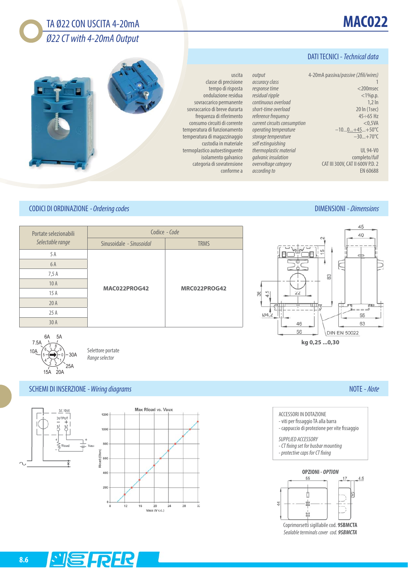# TA Ø22 CON USCITA 4-20mA **MAC022** Ø22 CT with 4-20mA Output

## DATI TECNICI - Technical data

|  | uscita                        | output                       | 4-20mA passiva/passive (2fili/wires) |
|--|-------------------------------|------------------------------|--------------------------------------|
|  | classe di precisione          | accuracy class               |                                      |
|  | tempo di risposta             | response time                | $<$ 200 $m$ sec                      |
|  | ondulazione residua           | residual ripple              | $<$ 1%p.p.                           |
|  | sovraccarico permanente       | continuous overload          | $1.2 \ln$                            |
|  | sovraccarico di breve durarta | short-time overload          | 20 In (1sec)                         |
|  | frequenza di riferimento      | reference frequency          | $45 \div 65$ Hz                      |
|  | consumo circuiti di corrente  | current circuits consumption | $<$ 0.5VA                            |
|  | temperatura di funzionamento  | operating temperature        | $-100+45+50^{\circ}C$                |
|  | temperatura di magazzinaggio  | storage temperature          | $-30+70^{\circ}$ C                   |
|  | custodia in materiale         | self estinguishing           |                                      |
|  | termoplastico autoestinguente | thermoplastic material       | <b>UL 94-V0</b>                      |
|  | isolamento galvanico          | galvanic insulation          | completo/full                        |
|  | categoria di sovratensione    | overvoltage category         | CAT III 300V, CAT II 600V P.D. 2     |
|  | conformo                      | accordina to                 | EN GMSQ                              |

sovraccarico di breve du frequenza di riferin consumo circuiti di consumb temperatura di funzionan temperatura di magazzina custodia in mate termoplastico autoesting<br>isolamento galv



## CODICI DI ORDINAZIONE - Ordering codes Dimensions and the contract of the contract of the contract of the contract of the contract of the contract of the contract of the contract of the contract of the contract of the cont



6A  $5A$  $7.5A$  $10<sub>4</sub>$ 30A  $25A$  $15A$  20A

Portate selezionabili Selectable range

5 A

6 A 7,5 A 10 A 15 A 20 A 25 A 30 A

> Selettore portate Range selector

## SCHEMI DI INSERZIONE - Wiring diagrams Note - Note - Note - Note - Note - Note - Note - Note

**NEFRER** 





Codice - Code

**MAC022PROG42 MRC022PROG42**

Sinusoidale - Sinusoidal | TRMS



Sealable terminals cover cod. **9SBMCTA**

**8.6**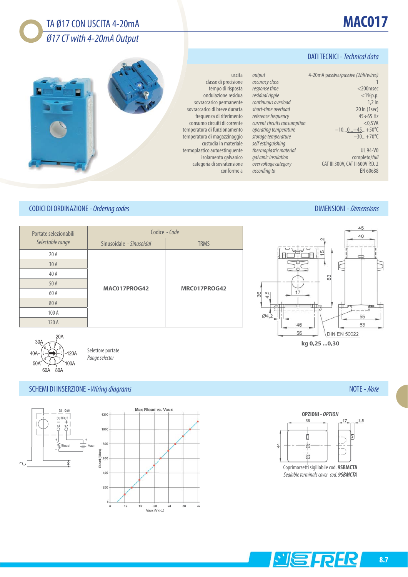# TA Ø17 CON USCITA 4-20mA **MAC017** Ø17 CT with 4-20mA Output

## DATI TECNICI - Technical data

|  | uscita                        | output                       | 4-20mA passiva/passive (2fili/wires) |
|--|-------------------------------|------------------------------|--------------------------------------|
|  | classe di precisione          | accuracy class               |                                      |
|  | tempo di risposta             | response time                | $<$ 200 $m$ sec                      |
|  | ondulazione residua           | residual ripple              | $<$ 1%p.p.                           |
|  | sovraccarico permanente       | continuous overload          | $1.2 \ln$                            |
|  | sovraccarico di breve durarta | short-time overload          | 20 In (1sec)                         |
|  | frequenza di riferimento      | reference frequency          | $45 \div 65$ Hz                      |
|  | consumo circuiti di corrente  | current circuits consumption | $<$ 0.5VA                            |
|  | temperatura di funzionamento  | operating temperature        | $-100+45+50^{\circ}C$                |
|  | temperatura di magazzinaggio  | storage temperature          | $-30+70^{\circ}$ C                   |
|  | custodia in materiale         | self estinguishing           |                                      |
|  | termoplastico autoestinguente | thermoplastic material       | <b>UL 94-V0</b>                      |
|  | isolamento galvanico          | galvanic insulation          | completo/full                        |
|  | categoria di sovratensione    | overvoltage category         | CAT III 300V, CAT II 600V P.D. 2     |
|  | conformo                      | accordina to                 | EN GMSQ                              |

sovraccarico di breve du frequenza di riferim consumo circuiti di consumb temperatura di funzionam temperatura di magazzina custodia in mate termoplastico autoestinguente rmoplastic material y<br>isolamento galvi



## CODICI DI ORDINAZIONE - Ordering codes DIMENSIONI - Dimensions DIMENSIONI - Dimensions







Selettore portate Range selector

### SCHEMI DI INSERZIONE - Wiring diagrams Note - Note - Note - Note - Note - Note - Note - Note







**ge FRER** 

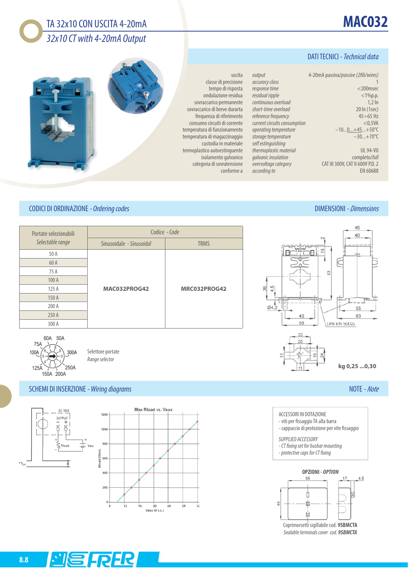# TA 32x10 CON USCITA 4-20mA **MAC032** 32x10 CT with 4-20mA Output

## DATI TECNICI - Technical data

|  | uscita                        | output                       | 4-20mA passiva/passive (2fili/wires) |
|--|-------------------------------|------------------------------|--------------------------------------|
|  | classe di precisione          | accuracy class               |                                      |
|  |                               |                              |                                      |
|  | tempo di risposta             | response time                | $<$ 200 $m$ sec                      |
|  | ondulazione residua           | residual ripple              | $<$ 1%p.p.                           |
|  | sovraccarico permanente       | continuous overload          | $1.2 \ln$                            |
|  | sovraccarico di breve durarta | short-time overload          | 20 In (1sec)                         |
|  | frequenza di riferimento      | reference frequency          | $45 \div 65$ Hz                      |
|  | consumo circuiti di corrente  | current circuits consumption | $<$ 0.5VA                            |
|  | temperatura di funzionamento  | operating temperature        | $-100+45+50^{\circ}C$                |
|  | temperatura di magazzinaggio  | storage temperature          | $-30+70^{\circ}$ C                   |
|  | custodia in materiale         | self estinguishing           |                                      |
|  | termoplastico autoestinguente | thermoplastic material       | UL 94-V0                             |
|  | isolamento galvanico          | <i>galvanic insulation</i>   | completo/full                        |
|  | categoria di sovratensione    | overvoltage category         | CAT III 300V, CAT II 600V P.D. 2     |
|  | conforman                     | accordinato                  | ENLACOO                              |

sovraccarico permanent sovraccarico di breve durar frequenza di riferimer consumo circuiti di corre temperatura di funzionamer temperatura di magazzinago custodia in materia termoplastico autoestinguentermoplastic material ethnomic soluments categoria di sovratensione



### CODICI DI ORDINAZIONE - Ordering codes Dimensions and the contract of the contract of the contract of the contract of the contract of the contract of the contract of the contract of the contract of the contract of the cont





Selettore portate Range selector

### SCHEMI DI INSERZIONE - Wiring diagrams Note - Note - Note - Note - Note - Note - Note - Note

**ge FRER** 





Max Rload vs. Vaux





Sealable terminals cover cod. **9SBMCTA**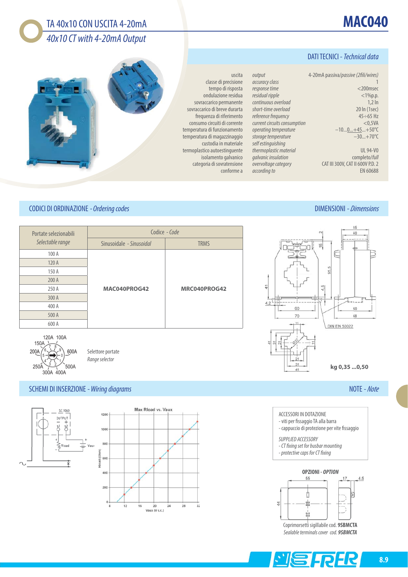# TA 40x10 CON USCITA 4-20mA **MAC040** 40x10 CT with 4-20mA Output

## DATI TECNICI - Technical data

| uscita          | output                       | 4-20mA passiva/passive (2fili/wires) |
|-----------------|------------------------------|--------------------------------------|
| isione          | accuracy class               |                                      |
| sposta          | response time                | $<$ 200 $m$ sec                      |
| esidua          | residual ripple              | $<$ 1%p.p.                           |
| nente           | continuous overload          | $1,2 \ln$                            |
| urarta          | short-time overload          | 20 In (1sec)                         |
| nento           | reference frequency          | $45 \div 65$ Hz                      |
| rrente          | current circuits consumption | $<$ 0.5VA                            |
| nento           | operating temperature        | $-100+45+50^{\circ}C$                |
| aggio           | storage temperature          | $-30+70^{\circ}$ C                   |
| teriale         | self estinguishing           |                                      |
| uente           | thermoplastic material       | <b>UL 94-V0</b>                      |
| <i>r</i> anico  | <i>galvanic insulation</i>   | completo/full                        |
| <b>nsione</b>   | overvoltage category         | CAT III 300V, CAT II 600V P.D. 2     |
| rm <sub>2</sub> | according to                 | EN GOGQQ                             |

ondulazione residu sovraccarico permanente sovraccarico di breve durarta frequenza di riferimento consumo circuiti di corrente temperatura di funzionamento temperatura di magazzinaggio custodia in materiale termoplastico autoestinguente isolamento galvanico categoria di sovratensione



## CODICI DI ORDINAZIONE - Ordering codes DIMENSIONI - Dimensions





Selettore portate Range selector

## SCHEMI DI INSERZIONE - Wiring diagrams Note - Note - Note - Note - Note - Note - Note - Note









Sealable terminals cover cod. **9SBMCTA**

FRER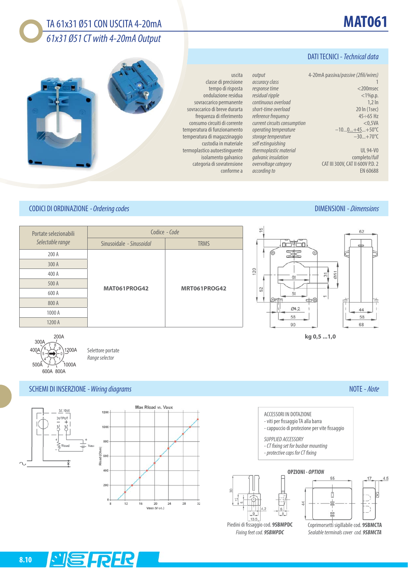# TA 61x31 Ø51 CON USCITA 4-20mA **MAT061** 61x31 Ø51 CT with 4-20mA Output

## DATI TECNICI - Technical data

| uscita         | output                       | 4-20mA passiva/passive (2fili/wires) |
|----------------|------------------------------|--------------------------------------|
| isione         | accuracy class               |                                      |
| sposta         | response time                | $<$ 200 $m$ sec                      |
| esidua         | residual ripple              | $<$ 1%p.p.                           |
| nente          | continuous overload          | $1,2 \ln$                            |
| urarta         | short-time overload          | 20 In (1sec)                         |
| nento          | reference frequency          | 45÷65 Hz                             |
| rrente         | current circuits consumption | $<$ 0.5VA                            |
| nento          | operating temperature        | $-100+45+50^{\circ}C$                |
| aggio          | storage temperature          | $-30+70^{\circ}$ C                   |
| teriale        | self estinguishing           |                                      |
| uente          | thermoplastic material       | <b>UL 94-V0</b>                      |
| <i>r</i> anico | <i>galvanic insulation</i>   | completo/full                        |
| <b>nsione</b>  | overvoltage category         | CAT III 300V, CAT II 600V P.D. 2     |
| $rm \alpha$    | accordina to                 | $FN$ $60688$                         |

sovraccarico permane sovraccarico di breve dura frequenza di riferime consumo circuiti di corre temperatura di funzioname temperatura di magazzina custodia in mater termoplastico autoestingue<br>isolamento galva categoria di sovratensi



## CODICI DI ORDINAZIONE - Ordering codes DIMENSIONI - Dimensions



**kg 0,5 ...1,0**



Selettore portate Range selector

### SCHEMI DI INSERZIONE - Wiring diagrams Note - Note - Note - Note - Note - Note - Note - Note

**NEFRER** 





**OPZIONI - OPTION**  - protective caps for CT fixing

ACCESSORI IN DOTAZIONE - viti per fissaggio TA alla barra - cappuccio di protezione per vite fissaggio

SUPPLIED ACCESSORY

- CT fixing set for busbar mounting



4.5 Ò 出  $\overline{\mathbb{Z}}$ 

Piedini di fissaggio cod. **9SBMPDC** Fixing feet cod. **9SBMPDC**

Coprimorsetti sigillabile cod. **9SBMCTA** Sealable terminals cover cod. **9SBMCTA**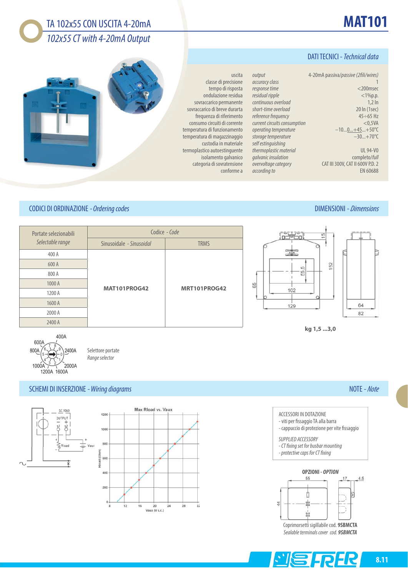# TA 102x55 CON USCITA 4-20mA **MAT101** 102x55 CT with 4-20mA Output

## DATI TECNICI - Technical data

|  | uscita                        | output                       | 4-20mA passiva/passive (2fili/wires) |
|--|-------------------------------|------------------------------|--------------------------------------|
|  | classe di precisione          | accuracy class               |                                      |
|  | tempo di risposta             | response time                | $<$ 200 $m$ sec                      |
|  | ondulazione residua           | residual ripple              | $<$ 1%p.p.                           |
|  | sovraccarico permanente       | continuous overload          | $1.2 \ln$                            |
|  | sovraccarico di breve durarta | short-time overload          | 20 In (1sec)                         |
|  | frequenza di riferimento      | reference frequency          | $45 \div 65$ Hz                      |
|  | consumo circuiti di corrente  | current circuits consumption | $<$ 0.5VA                            |
|  | temperatura di funzionamento  | operating temperature        | $-100+45+50^{\circ}C$                |
|  | temperatura di magazzinaggio  | storage temperature          | $-30+70^{\circ}$ C                   |
|  | custodia in materiale         | self estinguishing           |                                      |
|  | termoplastico autoestinguente | thermoplastic material       | <b>UL 94-V0</b>                      |
|  | isolamento galvanico          | galvanic insulation          | completo/full                        |
|  | categoria di sovratensione    | overvoltage category         | CAT III 300V, CAT II 600V P.D. 2     |
|  | conforme a                    | accordina to                 | FN 60688                             |

sovraccarico di breve du frequenza di riferin consumo circuiti di consumb temperatura di funzionan temperatura di magazzina custodia in mate termoplastico autoestinguente remoplastic material uses isolamento galv



## CODICI DI ORDINAZIONE - Ordering codes DIMENSIONI - Dimensions





Selettore portate Range selector

## SCHEMI DI INSERZIONE - Wiring diagrams Note - Note - Note - Note - Note - Note - Note - Note







Sealable terminals cover cod. **9SBMCTA**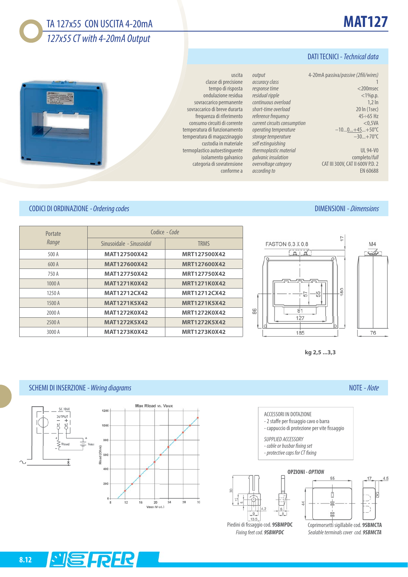# TA 127x55 CON USCITA 4-20mA **MAT127** 127x55 CT with 4-20mA Output

## DATI TECNICI - Technical data

|  | uscita                        | output                       | 4-20mA passiva/passive (2fili/wires) |
|--|-------------------------------|------------------------------|--------------------------------------|
|  | classe di precisione          | accuracy class               |                                      |
|  | tempo di risposta             | response time                | $<$ 200 $m$ sec                      |
|  | ondulazione residua           | residual ripple              | $<$ 1%p.p.                           |
|  | sovraccarico permanente       | continuous overload          | $1.2 \ln$                            |
|  | sovraccarico di breve durarta | short-time overload          | 20 In (1sec)                         |
|  | frequenza di riferimento      | reference frequency          | $45 \div 65$ Hz                      |
|  | consumo circuiti di corrente  | current circuits consumption | $<$ 0.5 VA                           |
|  | temperatura di funzionamento  | operating temperature        | $-100+45+50^{\circ}C$                |
|  | temperatura di magazzinaggio  | storage temperature          | $-30+70^{\circ}$ C                   |
|  | custodia in materiale         | self estinguishing           |                                      |
|  | termoplastico autoestinguente | thermoplastic material       | <b>UL 94-V0</b>                      |
|  | isolamento galvanico          | <i>galvanic insulation</i>   | completo/full                        |
|  | categoria di sovratensione    | overvoltage category         | CAT III 300V, CAT II 600V P.D. 2     |
|  | conforme a                    | accordina to                 | EN 60688                             |



## CODICI DI ORDINAZIONE - Ordering codes DIMENSIONI - Dimensions





**kg 2,5 ...3,3**

### SCHEMI DI INSERZIONE - Wiring diagrams Note - Note - Note - Note - Note - Note - Note - Note



**NS FRER** 

# Max Rload vs. Vaux

16

24

20

Vaux (V c.c.)

28

 $32$ 

4.5



Piedini di fissaggio cod. **9SBMPDC** Fixing feet cod. **9SBMPDC**

Coprimorsetti sigillabile cod. **9SBMCTA**

Sealable terminals cover cod. **9SBMCTA**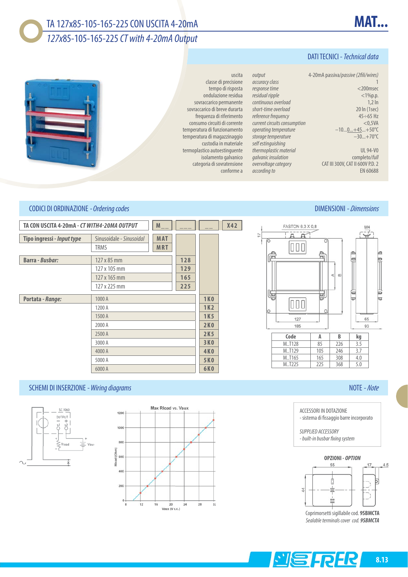# TA 127x85-105-165-225 CON USCITA 4-20mA **MAT...** 127x85-105-165-225 CT with 4-20mA Output

## DATI TECNICI - Technical data

|  | uscita                        | output                       | 4-20mA passiva/passive (2fili/wires) |
|--|-------------------------------|------------------------------|--------------------------------------|
|  | classe di precisione          | accuracy class               |                                      |
|  | tempo di risposta             | response time                | $<$ 200 $m$ sec                      |
|  | ondulazione residua           | residual ripple              | $<$ 1%p.p.                           |
|  | sovraccarico permanente       | continuous overload          | $1,2 \ln$                            |
|  | sovraccarico di breve durarta | short-time overload          | 20 In (1sec)                         |
|  | frequenza di riferimento      | reference frequency          | $45 \div 65$ Hz                      |
|  | consumo circuiti di corrente  | current circuits consumption | $<$ 0.5VA                            |
|  | temperatura di funzionamento  | operating temperature        | $-100+45+50^{\circ}C$                |
|  | temperatura di magazzinaggio  | storage temperature          | $-30+70^{\circ}$ C                   |
|  | custodia in materiale         | self estinguishing           |                                      |
|  | termoplastico autoestinguente | thermoplastic material       | <b>UL 94-V0</b>                      |
|  | isolamento galvanico          | <i>galvanic insulation</i>   | completo/full                        |
|  | categoria di sovratensione    | overvoltage category         | CAT III 300V, CAT II 600V P.D. 2     |
|  | conforme a                    | according to                 | EN 60688                             |



## CODICI DI ORDINAZIONE - Ordering codes DIMENSIONI - Dimensions

| TA CON USCITA 4-20mA - <i>CT WITH4-20MA OUTPUT</i> |                          | M          |                 |                 | X <sub>42</sub> |
|----------------------------------------------------|--------------------------|------------|-----------------|-----------------|-----------------|
| Tipo ingressi - Input type                         | Sinusoidale - Sinusoidal | <b>MAT</b> |                 |                 |                 |
|                                                    | <b>TRMS</b>              | <b>MRT</b> |                 |                 |                 |
| <b>Barra</b> - Busbar:                             | 127 x 85 mm              |            | 128             |                 |                 |
|                                                    | 127 x 105 mm             | 129        |                 |                 |                 |
|                                                    | 127 x 165 mm             | 165        |                 |                 |                 |
|                                                    | 127 x 225 mm             | 225        |                 |                 |                 |
| Portata - Range:                                   | 1000 A                   |            |                 | <b>1K0</b>      |                 |
|                                                    | 1200 A                   |            | 1K <sub>2</sub> |                 |                 |
|                                                    | 1500 A                   |            |                 | 1K <sub>5</sub> |                 |
|                                                    | 2000 A                   |            |                 | 2K <sub>0</sub> |                 |
|                                                    | 2500 A                   |            |                 | 2K5             |                 |
|                                                    | 3000 A                   |            |                 | 3 K O           |                 |
|                                                    | 4000 A                   |            |                 | 4K <sub>0</sub> |                 |
|                                                    | 5000 A                   |            |                 | 5K <sub>0</sub> |                 |
|                                                    | 6000 A                   |            |                 | 6K <sub>0</sub> |                 |

## SCHEMI DI INSERZIONE - Wiring diagrams Note - Note - Note - Note - Note - Note - Note - Note









Coprimorsetti sigillabilecod. **9SBMCTA** Sealable terminals cover cod. **9SBMCTA**

**YSFRER**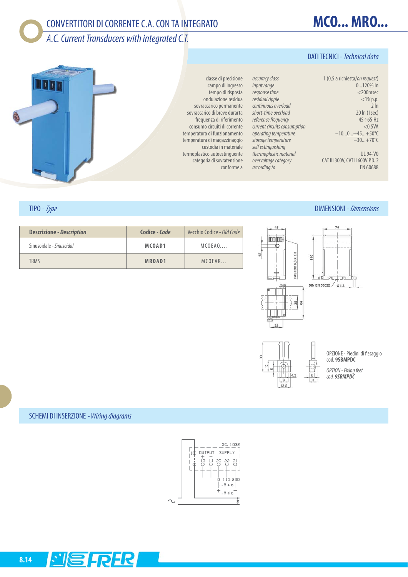CONVERTITORI DI CORRENTE C.A. CON TA INTEGRATO **MCO... MRO...** 

# A.C. Current Transducers with integrated C.T.

## DATI TECNICI - Technical data

|  | classe di precisione          | accuracy class               | 1 (0,5 a richiesta/on request)   |
|--|-------------------------------|------------------------------|----------------------------------|
|  | campo di ingresso             | <i>input range</i>           | $0120\%$ In                      |
|  | tempo di risposta             | response time                | $<$ 200 $m$ sec                  |
|  | ondulazione residua           | residual ripple              | $<$ 1%p.p.                       |
|  | sovraccarico permanente       | continuous overload          | $2 \ln$                          |
|  | sovraccarico di breve durarta | short-time overload          | 20 In (1sec)                     |
|  | frequenza di riferimento      | reference frequency          | $45 \div 65$ Hz                  |
|  | consumo circuiti di corrente  | current circuits consumption | $<$ 0,5VA                        |
|  | temperatura di funzionamento  | operating temperature        | $-100+45+50^{\circ}C$            |
|  | temperatura di magazzinaggio  | storage temperature          | $-30+70^{\circ}$ C               |
|  | custodia in materiale         | self estinguishing           |                                  |
|  | termoplastico autoestinguente | thermoplastic material       | <b>UL 94-V0</b>                  |
|  | categoria di sovratensione    | overvoltage category         | CAT III 300V, CAT II 600V P.D. 2 |
|  | conforme a                    | accordina to                 | EN 60688                         |

 custodia in materiale self estinguishing conforme a *according to* EN 60688

## TIPO - Type DIMENSIONI - Dimensions

| <b>Descrizione - Description</b> | Codice - Code | Vecchio Codice - Old Code |
|----------------------------------|---------------|---------------------------|
| Sinusoidale - Sinusoidal         | MCOAD1        | MCOEAO                    |
| TRMS                             | MROAD1        | $MCOFAR$                  |



 $9.$ 13.5 OPZIONE - Piedini di fissaggio cod. **9SBMPDC**

OPTION - Fixing feet cod. **9SBMPDC**

### SCHEMI DI INSERZIONE - Wiring diagrams



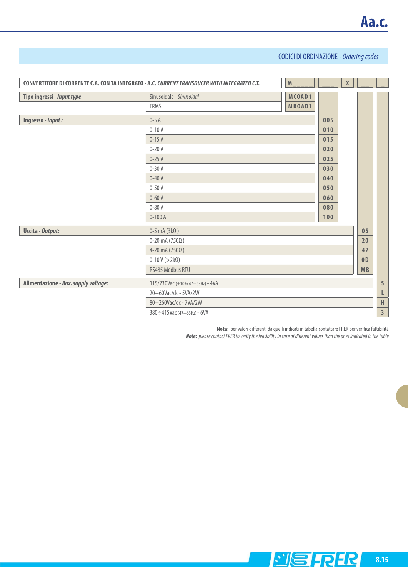## CODICI DI ORDINAZIONE - Ordering codes

| $\vert M \vert$<br>CONVERTITORE DI CORRENTE C.A. CON TA INTEGRATO - A.C. CURRENT TRANSDUCER WITH INTEGRATED C.T. |                              |        |     | $\chi$ |                |                         |
|------------------------------------------------------------------------------------------------------------------|------------------------------|--------|-----|--------|----------------|-------------------------|
| Tipo ingressi - Input type                                                                                       | Sinusoidale - Sinusoidal     | MCOAD1 |     |        |                |                         |
|                                                                                                                  | <b>TRMS</b>                  | MROAD1 |     |        |                |                         |
| Ingresso - Input:                                                                                                | $0-5A$                       |        | 005 |        |                |                         |
|                                                                                                                  | $0-10A$                      |        | 010 |        |                |                         |
|                                                                                                                  | $0-15A$                      |        | 015 |        |                |                         |
|                                                                                                                  | $0-20A$                      |        | 020 |        |                |                         |
|                                                                                                                  | $0-25A$                      |        | 025 |        |                |                         |
|                                                                                                                  | $0-30A$                      |        | 030 |        |                |                         |
|                                                                                                                  | $0-40A$                      |        | 040 |        |                |                         |
|                                                                                                                  | $0-50A$                      |        | 050 |        |                |                         |
|                                                                                                                  | $0-60A$                      |        | 060 |        |                |                         |
|                                                                                                                  | $0-80A$                      |        | 080 |        |                |                         |
|                                                                                                                  | $0-100A$                     |        | 100 |        |                |                         |
| Uscita - Output:                                                                                                 | $0-5$ mA (3k $\Omega$ )      |        |     |        | 05             |                         |
|                                                                                                                  | $0-20$ mA (750 $\Omega$ )    |        |     |        | 20             |                         |
|                                                                                                                  | 4-20 mA (750Ω)               |        |     |        | 42             |                         |
|                                                                                                                  | $0 - 10 V (> 2k\Omega)$      |        |     |        | 0 <sub>D</sub> |                         |
|                                                                                                                  | RS485 Modbus RTU             |        |     |        | <b>MB</b>      |                         |
| Alimentazione - Aux. supply voltage:<br>115/230Vac (±10% 47÷63Hz) - 4VA                                          |                              |        |     |        | $\mathsf S$    |                         |
|                                                                                                                  | $20 \div 60$ Vac/dc - 5VA/2W |        |     |        |                | L                       |
| 80÷260Vac/dc - 7VA/2W                                                                                            |                              |        |     |        | $\sf H$        |                         |
|                                                                                                                  | 380÷415Vac (47÷63Hz) - 6VA   |        |     |        |                | $\overline{\mathbf{3}}$ |

**Nota:** per valori differenti da quelli indicati in tabella contattare FRER per verifica fattibilità **Note:** please contact FRER to verify the feasibility in case of different values than the ones indicated in the table